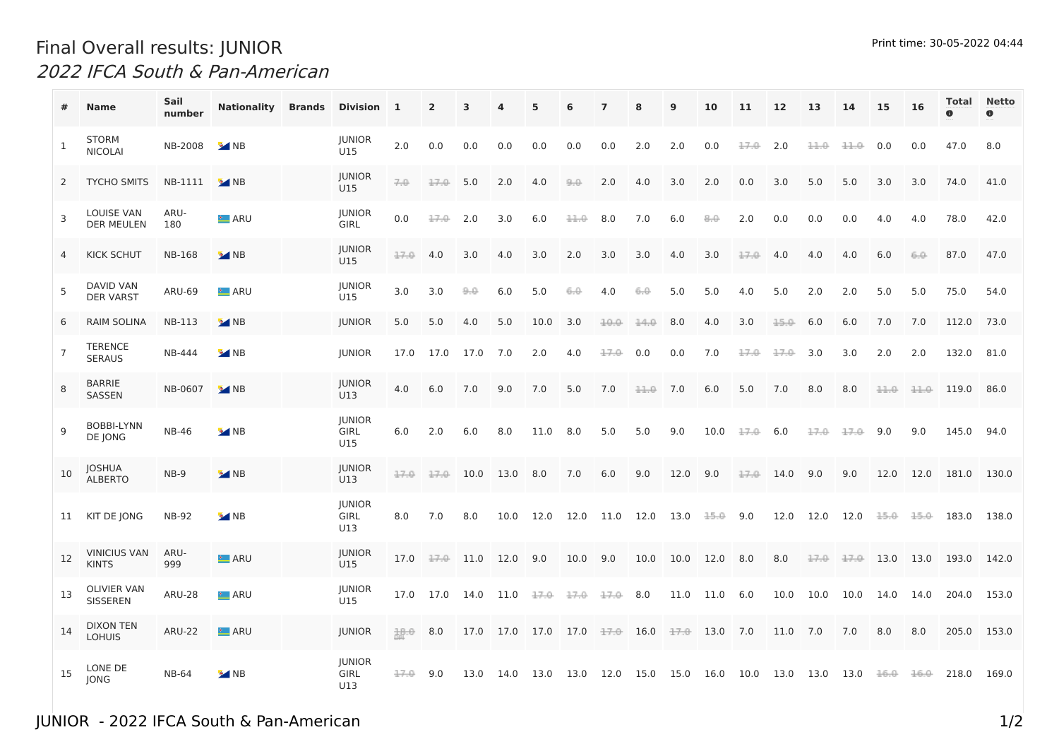## Print time: 30-05-2022 04:44 Final Overall results: JUNIOR 2022 IFCA South & Pan-American

|                | <b>Name</b>                            | Sail<br>number | <b>Nationality Brands</b> | Division 1                          |      | $\overline{2}$ | 3    |                                                                                          | 5    | 6    | $\overline{7}$ | 8    | 9    | 10       | 11          | 12          | 13   | 14   | 15   | 16   |             | <b>Total Netto</b><br>$\bullet$ |
|----------------|----------------------------------------|----------------|---------------------------|-------------------------------------|------|----------------|------|------------------------------------------------------------------------------------------|------|------|----------------|------|------|----------|-------------|-------------|------|------|------|------|-------------|---------------------------------|
| 1              | <b>STORM</b><br><b>NICOLAI</b>         | NB-2008        | $\bullet$ NB              | <b>JUNIOR</b><br>U15                | 2.0  | 0.0            | 0.0  | 0.0                                                                                      | 0.0  | 0.0  | 0.0            | 2.0  | 2.0  | 0.0      | 17.0        | 2.0         | 11.0 | 11.0 | 0.0  | 0.0  | 47.0        | 8.0                             |
| 2              | TYCHO SMITS                            | NB-1111        | $\bullet$ NB              | <b>JUNIOR</b><br>U15                | 7.0  | 17.0           | 5.0  | 2.0                                                                                      | 4.0  | 9.0  | 2.0            | 4.0  | 3.0  | 2.0      | 0.0         | 3.0         | 5.0  | 5.0  | 3.0  | 3.0  | 74.0        | 41.0                            |
| 3              | <b>LOUISE VAN</b><br><b>DER MEULEN</b> | ARU-<br>180    | <b>LARU</b>               | <b>JUNIOR</b><br><b>GIRL</b>        | 0.0  | 17.0           | 2.0  | 3.0                                                                                      | 6.0  | 11.0 | 8.0            | 7.0  | 6.0  | 8,0      | 2.0         | 0.0         | 0.0  | 0.0  | 4.0  | 4.0  | 78.0        | 42.0                            |
|                | <b>KICK SCHUT</b>                      | <b>NB-168</b>  | $\bullet$ NB              | <b>JUNIOR</b><br>U15                | 17.0 | 4.0            | 3.0  | 4.0                                                                                      | 3.0  | 2.0  | 3.0            | 3.0  | 4.0  | 3.0      | 17.0        | 4.0         | 4.0  | 4.0  | 6.0  | 6,0  | 87.0        | 47.0                            |
| 5              | <b>DAVID VAN</b><br><b>DER VARST</b>   | <b>ARU-69</b>  | <b>E</b> ARU              | <b>JUNIOR</b><br>U15                | 3.0  | 3.0            | 9,0  | 6.0                                                                                      | 5.0  | 6.0  | 4.0            | 6.0  | 5.0  | 5.0      | 4.0         | 5.0         | 2.0  | 2.0  | 5.0  | 5.0  | 75.0        | 54.0                            |
| 6              | <b>RAIM SOLINA</b>                     | <b>NB-113</b>  | $\bullet$ NB              | <b>JUNIOR</b>                       | 5.0  | 5.0            | 4.0  | 5.0                                                                                      | 10.0 | 3.0  | $10.0 -$       | 14.0 | 8.0  | 4.0      | 3.0         | 15.0        | 6.0  | 6.0  | 7.0  | 7.0  | 112.0       | 73.0                            |
| $\overline{7}$ | TERENCE<br><b>SERAUS</b>               | NB-444         | $\bullet$ NB              | <b>JUNIOR</b>                       | 17.0 | 17.0           | 17.0 | 7.0                                                                                      | 2.0  | 4.0  | 17.0           | 0.0  | 0.0  | 7.0      | 17.0        | 17.0        | 3.0  | 3.0  | 2.0  | 2.0  | 132.0       | 81.0                            |
| 8              | <b>BARRIE</b><br>SASSEN                | NB-0607        | $\bullet$ NB              | <b>JUNIOR</b><br>U13                | 4.0  | 6.0            | 7.0  | 9.0                                                                                      | 7.0  | 5.0  | 7.0            | 11.0 | 7.0  | 6.0      | 5.0         | 7.0         | 8.0  | 8.0  | 11.0 | 11.0 | 119.0       | 86.0                            |
| 9              | <b>BOBBI-LYNN</b><br>DE JONG           | <b>NB-46</b>   | <b>M</b> NB               | <b>JUNIOR</b><br><b>GIRL</b><br>U15 | 6.0  | 2.0            | 6.0  | 8.0                                                                                      | 11.0 | 8.0  | 5.0            | 5.0  | 9.0  | 10.0     | $17.06$ 6.0 |             | 17.0 | 17.0 | 9.0  | 9.0  | 145.0 94.0  |                                 |
| 10             | JOSHUA<br><b>ALBERTO</b>               | $NB-9$         | $^{\circ}$ NB             | <b>JUNIOR</b><br>U13                | 17.0 | 17.0           | 10.0 | 13.0                                                                                     | 8.0  | 7.0  | 6.0            | 9.0  | 12.0 | 9.0      |             | $17.0$ 14.0 | 9.0  | 9.0  | 12.0 | 12.0 | 181.0 130.0 |                                 |
| 11             | KIT DE JONG                            | <b>NB-92</b>   | $\bullet$ NB              | <b>JUNIOR</b><br><b>GIRL</b><br>U13 | 8.0  | 7.0            | 8.0  | 10.0                                                                                     | 12.0 | 12.0 | 11.0 12.0      |      | 13.0 | 15.0     | 9.0         | 12.0        | 12.0 | 12.0 | 15.0 | 15.0 | 183.0       | 138.0                           |
| 12             | <b>VINICIUS VAN</b><br><b>KINTS</b>    | ARU-<br>999    | <b>E</b> ARU              | <b>JUNIOR</b><br>U15                | 17.0 | 17.0           | 11.0 | 12.0                                                                                     | 9.0  | 10.0 | 9.0            | 10.0 | 10.0 | 12.0     | 8.0         | 8.0         | 17.0 | 17.0 | 13.0 | 13.0 | 193.0       | 142.0                           |
| 13             | OLIVIER VAN<br><b>SISSEREN</b>         | <b>ARU-28</b>  | <b>E</b> ARU              | <b>JUNIOR</b><br>U15                | 17.0 | 17.0 14.0      |      | 11.0                                                                                     | 17.0 | 17.0 | 17.0           | 8.0  | 11.0 | 11.0     | 6.0         | 10.0        | 10.0 | 10.0 | 14.0 | 14.0 | 204.0       | 153.0                           |
| 14             | <b>DIXON TEN</b><br><b>LOHUIS</b>      | <b>ARU-22</b>  | <b>LARU</b>               | <b>JUNIOR</b>                       | 18.0 | 8.0            | 17.0 | 17.0 17.0 17.0 <del>17.0</del> 16.0 <del>17.0</del>                                      |      |      |                |      |      | 13.0 7.0 |             | 11.0        | 7.0  | 7.0  | 8.0  | 8.0  | 205.0       | 153.0                           |
| 15             | LONE DE<br><b>JONG</b>                 | <b>NB-64</b>   | $\bullet$ NB              | <b>JUNIOR</b><br><b>GIRL</b><br>U13 | 17.0 | 9.0            | 13.0 | $14.0$ 13.0 13.0 12.0 15.0 15.0 16.0 10.0 13.0 13.0 13.0 <del>16.0</del> <del>16.0</del> |      |      |                |      |      |          |             |             |      |      |      |      | 218.0       | 169.0                           |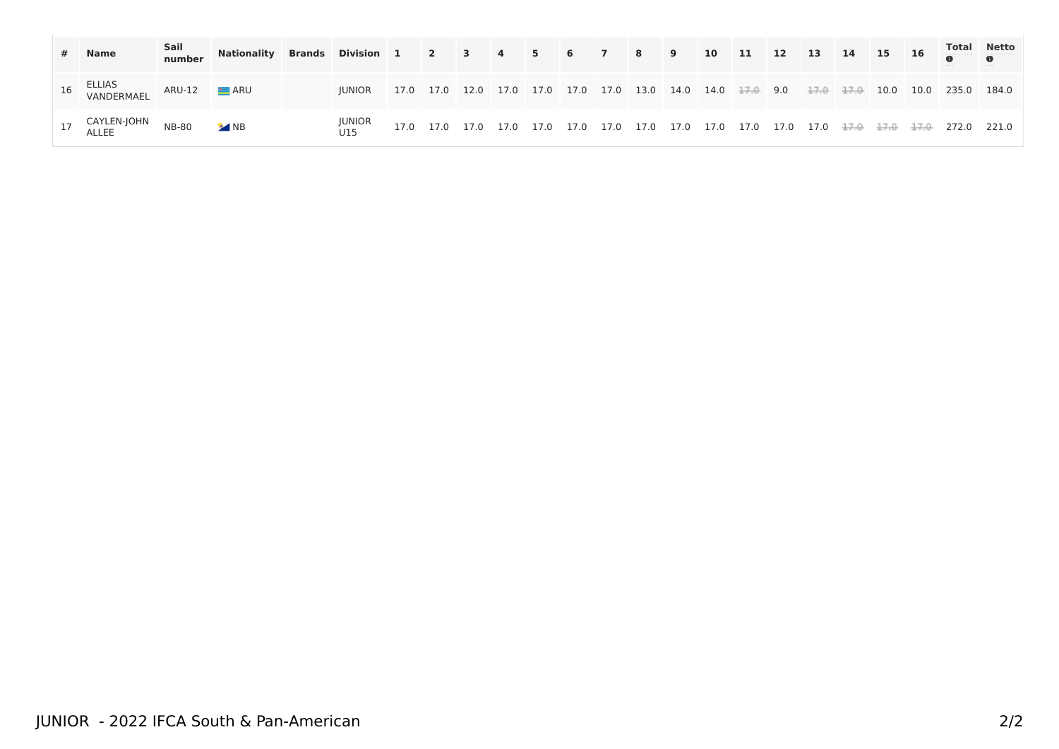| # Name                                    | Sail<br>number | Nationality Brands Division 1 2 3 4 5 6 7 8 9 10 11 12 13 14 15 16 Total Netto |                                                                                                                         |  |  |  |  |  |  |  |  |  |
|-------------------------------------------|----------------|--------------------------------------------------------------------------------|-------------------------------------------------------------------------------------------------------------------------|--|--|--|--|--|--|--|--|--|
| 16 ELLIAS<br>VANDERMAEL ARU-12 ELARU      |                |                                                                                | JUNIOR 17.0 17.0 12.0 17.0 17.0 17.0 17.0 13.0 14.0 14.0 <del>17.0</del> 9.0 <del>17.0 17.0</del> 10.0 10.0 235.0 184.0 |  |  |  |  |  |  |  |  |  |
| 17 CAYLEN-JOHN NB-80 MB<br>ALLEE NB-80 MB |                |                                                                                |                                                                                                                         |  |  |  |  |  |  |  |  |  |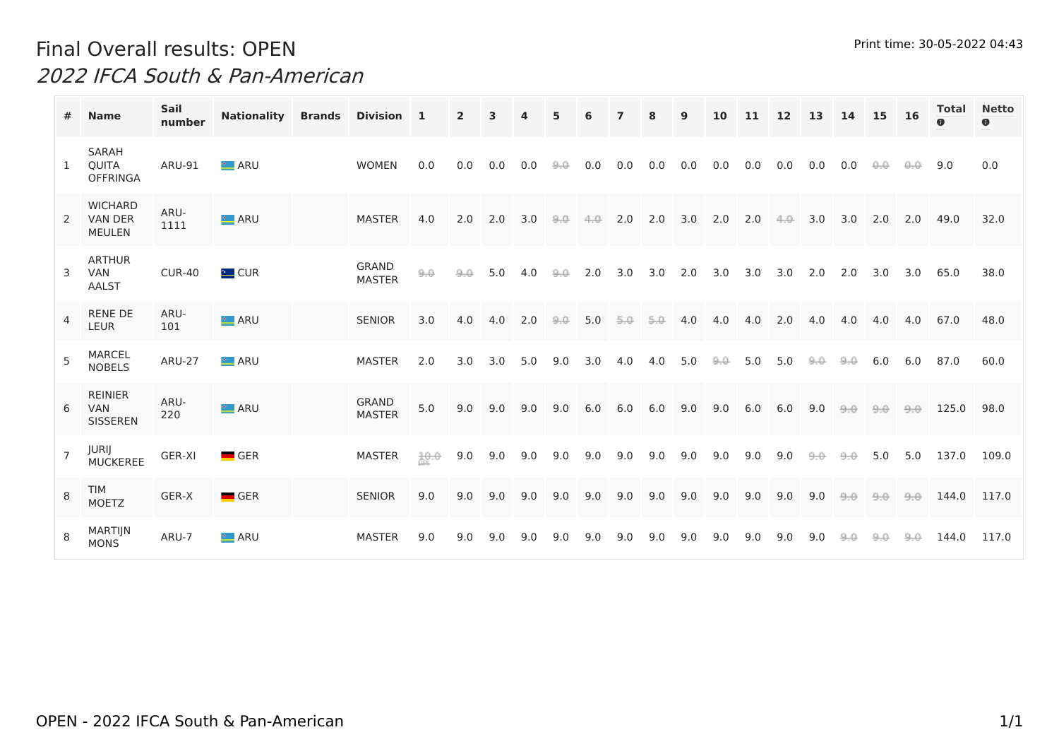## Print time: 30-05-2022 04:43 Final Overall results: OPEN 2022 IFCA South & Pan-American

|                | <b>Name</b>                                     | <b>Sail</b><br>number | <b>Nationality</b> | <b>Brands</b> | Division 1                    |      | $\overline{2}$ | 3   | 4   | 5   | 6    | $\mathbf{z}$ | 8   | 9   | 10   | 11  | 12   | 13  | 14  | 15   | <b>16</b> | Total<br>$\bullet$ | <b>Netto</b><br>$\bullet$ |
|----------------|-------------------------------------------------|-----------------------|--------------------|---------------|-------------------------------|------|----------------|-----|-----|-----|------|--------------|-----|-----|------|-----|------|-----|-----|------|-----------|--------------------|---------------------------|
| 1              | <b>SARAH</b><br>QUITA<br><b>OFFRINGA</b>        | ARU-91                | <b>LARU</b>        |               | <b>WOMEN</b>                  | 0.0  | 0.0            | 0.0 | 0.0 | 9,0 | 0.0  | 0.0          | 0.0 | 0.0 | 0.0  | 0.0 | 0.0  | 0.0 | 0.0 | 0,0. | 0,0.      | 9.0                | 0.0                       |
| $\overline{2}$ | <b>WICHARD</b><br>VAN DER<br><b>MEULEN</b>      | ARU-<br>1111          | <b>E</b> ARU       |               | <b>MASTER</b>                 | 4.0  | 2.0            | 2.0 | 3.0 | 9,0 | 4.0. | 2.0          | 2.0 | 3.0 | 2.0  | 2.0 | 4.0. | 3.0 | 3.0 | 2.0  | 2.0       | 49.0               | 32.0                      |
| 3              | <b>ARTHUR</b><br><b>VAN</b><br>AALST            | <b>CUR-40</b>         | <b>E</b> CUR       |               | <b>GRAND</b><br><b>MASTER</b> | 9,0  | 9,0            | 5.0 | 4.0 | 9,0 | 2.0  | 3.0          | 3.0 | 2.0 | 3.0  | 3.0 | 3.0  | 2.0 | 2.0 | 3.0  | 3.0       | 65.0               | 38.0                      |
| 4              | <b>RENE DE</b><br>LEUR                          | ARU-<br>101           | <b>LARU</b>        |               | <b>SENIOR</b>                 | 3.0  | 4.0            | 4.0 | 2.0 | 9,0 | 5.0  | 5.0          | 5.0 | 4.0 | 4.0  | 4.0 | 2.0  | 4.0 | 4.0 | 4.0  | 4.0       | 67.0               | 48.0                      |
| 5              | <b>MARCEL</b><br><b>NOBELS</b>                  | <b>ARU-27</b>         | <u>t</u> ⊿ARU      |               | <b>MASTER</b>                 | 2.0  | 3.0            | 3.0 | 5.0 | 9.0 | 3.0  | 4.0          | 4.0 | 5.0 | 9.0. | 5.0 | 5.0  | 9,0 | 9,0 | 6.0  | 6.0       | 87.0               | 60.0                      |
| 6              | <b>REINIER</b><br><b>VAN</b><br><b>SISSEREN</b> | ARU-<br>220           | <b>LARU</b>        |               | <b>GRAND</b><br><b>MASTER</b> | 5.0  | 9.0            | 9.0 | 9.0 | 9.0 | 6.0  | 6.0          | 6.0 | 9.0 | 9.0  | 6.0 | 6.0  | 9.0 | 9.0 | 9.0  | 9.0       | 125.0              | 98.0                      |
| $\overline{7}$ | JURIJ<br><b>MUCKEREE</b>                        | GER-XI                | $\blacksquare$ GER |               | <b>MASTER</b>                 | 10.0 | 9.0            | 9.0 | 9.0 | 9.0 | 9.0  | 9.0          | 9.0 | 9.0 | 9.0  | 9.0 | 9.0  | 9,0 | 9.0 | 5.0  | 5.0       | 137.0              | 109.0                     |
| 8              | <b>TIM</b><br><b>MOETZ</b>                      | GER-X                 | $\blacksquare$ GER |               | <b>SENIOR</b>                 | 9.0  | 9.0            | 9.0 | 9.0 | 9.0 | 9.0  | 9.0          | 9.0 | 9.0 | 9.0  | 9.0 | 9.0  | 9.0 | 9.0 | 9.0  | 9.0       | 144.0              | 117.0                     |
| 8              | MARTIJN<br><b>MONS</b>                          | ARU-7                 | <b>E</b> ARU       |               | <b>MASTER</b>                 | 9.0  | 9.0            | 9.0 | 9.0 | 9.0 | 9.0  | 9.0          | 9.0 | 9.0 | 9.0  | 9.0 | 9.0  | 9.0 | 9,0 | 9,0  | 9,0       | 144.0              | 117.0                     |